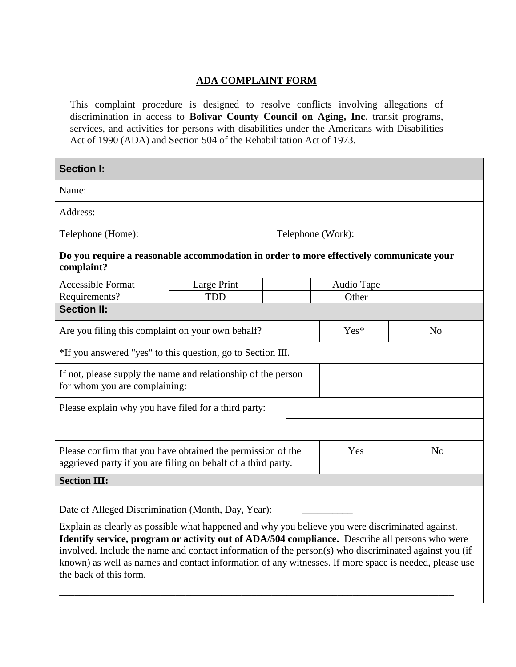## **ADA COMPLAINT FORM**

This complaint procedure is designed to resolve conflicts involving allegations of discrimination in access to **Bolivar County Council on Aging, Inc**. transit programs, services, and activities for persons with disabilities under the Americans with Disabilities Act of 1990 (ADA) and Section 504 of the Rehabilitation Act of 1973.

| Telephone (Work):                                           |                                                                                                                                                                                                                                                                                                                                                                                                                                                                                                                                                                                                                                                                             |  |  |
|-------------------------------------------------------------|-----------------------------------------------------------------------------------------------------------------------------------------------------------------------------------------------------------------------------------------------------------------------------------------------------------------------------------------------------------------------------------------------------------------------------------------------------------------------------------------------------------------------------------------------------------------------------------------------------------------------------------------------------------------------------|--|--|
|                                                             |                                                                                                                                                                                                                                                                                                                                                                                                                                                                                                                                                                                                                                                                             |  |  |
|                                                             |                                                                                                                                                                                                                                                                                                                                                                                                                                                                                                                                                                                                                                                                             |  |  |
| Other                                                       |                                                                                                                                                                                                                                                                                                                                                                                                                                                                                                                                                                                                                                                                             |  |  |
|                                                             |                                                                                                                                                                                                                                                                                                                                                                                                                                                                                                                                                                                                                                                                             |  |  |
| Yes*                                                        | N <sub>0</sub>                                                                                                                                                                                                                                                                                                                                                                                                                                                                                                                                                                                                                                                              |  |  |
| *If you answered "yes" to this question, go to Section III. |                                                                                                                                                                                                                                                                                                                                                                                                                                                                                                                                                                                                                                                                             |  |  |
|                                                             |                                                                                                                                                                                                                                                                                                                                                                                                                                                                                                                                                                                                                                                                             |  |  |
| Please explain why you have filed for a third party:        |                                                                                                                                                                                                                                                                                                                                                                                                                                                                                                                                                                                                                                                                             |  |  |
|                                                             |                                                                                                                                                                                                                                                                                                                                                                                                                                                                                                                                                                                                                                                                             |  |  |
| Yes                                                         | N <sub>o</sub>                                                                                                                                                                                                                                                                                                                                                                                                                                                                                                                                                                                                                                                              |  |  |
|                                                             |                                                                                                                                                                                                                                                                                                                                                                                                                                                                                                                                                                                                                                                                             |  |  |
|                                                             |                                                                                                                                                                                                                                                                                                                                                                                                                                                                                                                                                                                                                                                                             |  |  |
|                                                             | known) as well as names and contact information of any witnesses. If more space is needed, please use                                                                                                                                                                                                                                                                                                                                                                                                                                                                                                                                                                       |  |  |
|                                                             | Do you require a reasonable accommodation in order to more effectively communicate your<br>Audio Tape<br>If not, please supply the name and relationship of the person<br>Please confirm that you have obtained the permission of the<br>aggrieved party if you are filing on behalf of a third party.<br>Date of Alleged Discrimination (Month, Day, Year):<br>Explain as clearly as possible what happened and why you believe you were discriminated against.<br>Identify service, program or activity out of ADA/504 compliance. Describe all persons who were<br>involved. Include the name and contact information of the person(s) who discriminated against you (if |  |  |